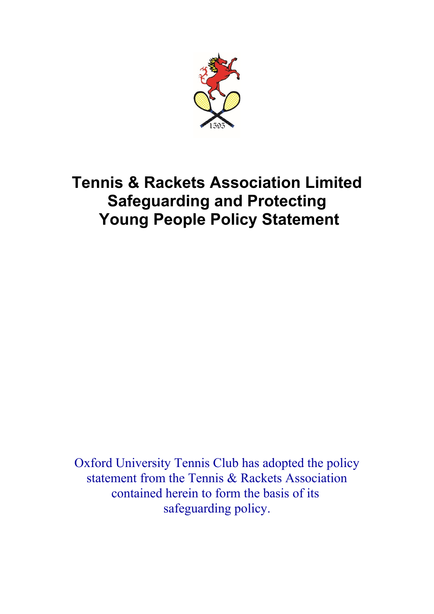

# **Tennis & Rackets Association Limited Safeguarding and Protecting Young People Policy Statement**

Oxford University Tennis Club has adopted the policy statement from the Tennis & Rackets Association contained herein to form the basis of its safeguarding policy.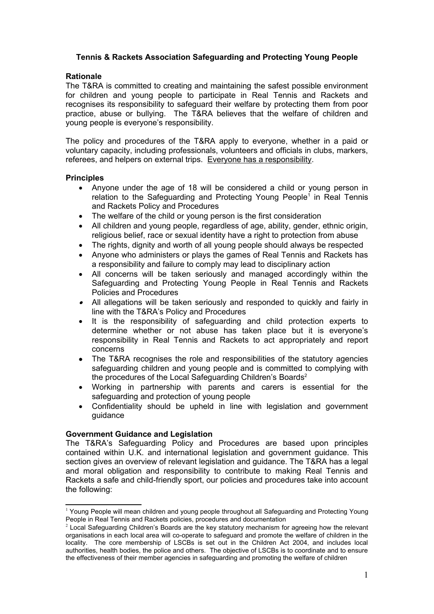# **Tennis & Rackets Association Safeguarding and Protecting Young People**

#### **Rationale**

The T&RA is committed to creating and maintaining the safest possible environment for children and young people to participate in Real Tennis and Rackets and recognises its responsibility to safeguard their welfare by protecting them from poor practice, abuse or bullying. The T&RA believes that the welfare of children and young people is everyone's responsibility.

The policy and procedures of the T&RA apply to everyone, whether in a paid or voluntary capacity, including professionals, volunteers and officials in clubs, markers, referees, and helpers on external trips. Everyone has a responsibility.

#### **Principles**

- Anyone under the age of 18 will be considered a child or young person in relation to the Safeguarding and Protecting Young People<sup>[1](#page-1-0)</sup> in Real Tennis and Rackets Policy and Procedures
- The welfare of the child or young person is the first consideration
- All children and young people, regardless of age, ability, gender, ethnic origin, religious belief, race or sexual identity have a right to protection from abuse
- The rights, dignity and worth of all young people should always be respected
- Anyone who administers or plays the games of Real Tennis and Rackets has a responsibility and failure to comply may lead to disciplinary action
- All concerns will be taken seriously and managed accordingly within the Safeguarding and Protecting Young People in Real Tennis and Rackets Policies and Procedures
- All allegations will be taken seriously and responded to quickly and fairly in line with the T&RA's Policy and Procedures
- It is the responsibility of safeguarding and child protection experts to determine whether or not abuse has taken place but it is everyone's responsibility in Real Tennis and Rackets to act appropriately and report concerns
- The T&RA recognises the role and responsibilities of the statutory agencies safeguarding children and young people and is committed to complying with the procedures of the Local Safeguarding Children's Boards<sup>[2](#page-1-1)</sup>
- Working in partnership with parents and carers is essential for the safeguarding and protection of young people
- Confidentiality should be upheld in line with legislation and government guidance

## **Government Guidance and Legislation**

The T&RA's Safeguarding Policy and Procedures are based upon principles contained within U.K. and international legislation and government guidance. This section gives an overview of relevant legislation and guidance. The T&RA has a legal and moral obligation and responsibility to contribute to making Real Tennis and Rackets a safe and child-friendly sport, our policies and procedures take into account the following:

<span id="page-1-0"></span><sup>&</sup>lt;sup>1</sup> Young People will mean children and young people throughout all Safeguarding and Protecting Young People in Real Tennis and Rackets policies, procedures and documentation

<span id="page-1-1"></span> $2$  Local Safeguarding Children's Boards are the key statutory mechanism for agreeing how the relevant organisations in each local area will co-operate to safeguard and promote the welfare of children in the locality. The core membership of LSCBs is set out in the Children Act 2004, and includes local authorities, health bodies, the police and others. The objective of LSCBs is to coordinate and to ensure the effectiveness of their member agencies in safeguarding and promoting the welfare of children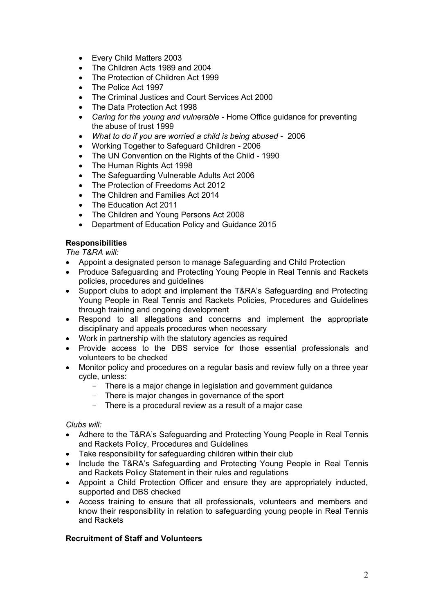- Every Child Matters 2003
- The Children Acts 1989 and 2004
- The Protection of Children Act 1999
- The Police Act 1997
- The Criminal Justices and Court Services Act 2000
- The Data Protection Act 1998
- *Caring for the young and vulnerable* Home Office guidance for preventing the abuse of trust 1999
- *What to do if you are worried a child is being abused* 2006
- Working Together to Safeguard Children 2006
- The UN Convention on the Rights of the Child 1990
- The Human Rights Act 1998
- The Safeguarding Vulnerable Adults Act 2006
- The Protection of Freedoms Act 2012
- The Children and Families Act 2014
- The Education Act 2011
- The Children and Young Persons Act 2008
- Department of Education Policy and Guidance 2015

# **Responsibilities**

*The T&RA will:*

- Appoint a designated person to manage Safeguarding and Child Protection
- Produce Safeguarding and Protecting Young People in Real Tennis and Rackets policies, procedures and guidelines
- Support clubs to adopt and implement the T&RA's Safeguarding and Protecting Young People in Real Tennis and Rackets Policies, Procedures and Guidelines through training and ongoing development
- Respond to all allegations and concerns and implement the appropriate disciplinary and appeals procedures when necessary
- Work in partnership with the statutory agencies as required
- Provide access to the DBS service for those essential professionals and volunteers to be checked
- Monitor policy and procedures on a regular basis and review fully on a three year cycle, unless:
	- There is a major change in legislation and government guidance
	- There is major changes in governance of the sport
	- There is a procedural review as a result of a major case

## *Clubs will:*

- Adhere to the T&RA's Safeguarding and Protecting Young People in Real Tennis and Rackets Policy, Procedures and Guidelines
- Take responsibility for safeguarding children within their club
- Include the T&RA's Safeguarding and Protecting Young People in Real Tennis and Rackets Policy Statement in their rules and regulations
- Appoint a Child Protection Officer and ensure they are appropriately inducted, supported and DBS checked
- Access training to ensure that all professionals, volunteers and members and know their responsibility in relation to safeguarding young people in Real Tennis and Rackets

## **Recruitment of Staff and Volunteers**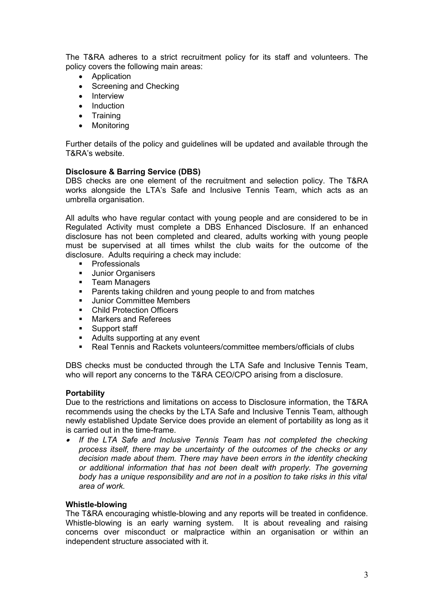The T&RA adheres to a strict recruitment policy for its staff and volunteers. The policy covers the following main areas:

- Application
- Screening and Checking
- Interview
- Induction
- Training
- Monitoring

Further details of the policy and guidelines will be updated and available through the T&RA's website.

## **Disclosure & Barring Service (DBS)**

DBS checks are one element of the recruitment and selection policy. The T&RA works alongside the LTA's Safe and Inclusive Tennis Team, which acts as an umbrella organisation.

All adults who have regular contact with young people and are considered to be in Regulated Activity must complete a DBS Enhanced Disclosure. If an enhanced disclosure has not been completed and cleared, adults working with young people must be supervised at all times whilst the club waits for the outcome of the disclosure. Adults requiring a check may include:

- **•** Professionals
- Junior Organisers
- **Team Managers**
- **•** Parents taking children and young people to and from matches
- **Junior Committee Members**
- **E** Child Protection Officers
- **Narkers and Referees**
- **Support staff**
- Adults supporting at any event
- Real Tennis and Rackets volunteers/committee members/officials of clubs

DBS checks must be conducted through the LTA Safe and Inclusive Tennis Team, who will report any concerns to the T&RA CEO/CPO arising from a disclosure.

## **Portability**

Due to the restrictions and limitations on access to Disclosure information, the T&RA recommends using the checks by the LTA Safe and Inclusive Tennis Team, although newly established Update Service does provide an element of portability as long as it is carried out in the time-frame.

 $\bullet$  *If the LTA Safe and Inclusive Tennis Team has not completed the checking process itself, there may be uncertainty of the outcomes of the checks or any decision made about them. There may have been errors in the identity checking or additional information that has not been dealt with properly. The governing body has a unique responsibility and are not in a position to take risks in this vital area of work.* 

## **Whistle-blowing**

The T&RA encouraging whistle-blowing and any reports will be treated in confidence. Whistle-blowing is an early warning system. It is about revealing and raising concerns over misconduct or malpractice within an organisation or within an independent structure associated with it.